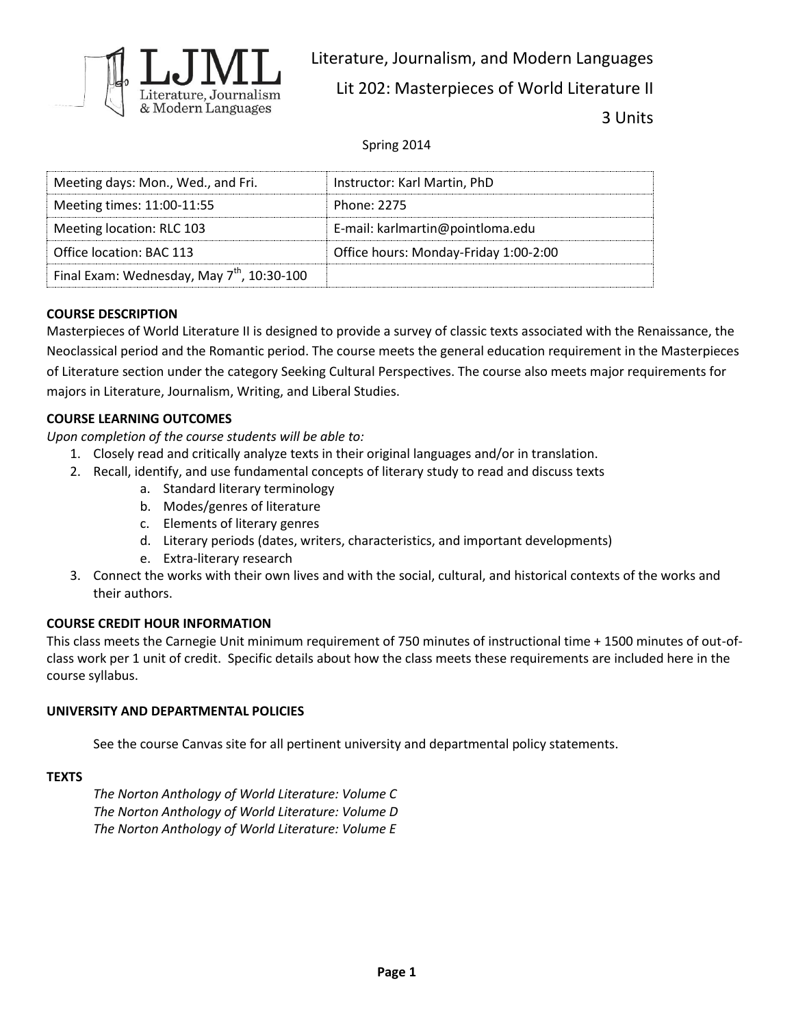

Literature, Journalism, and Modern Languages Lit 202: Masterpieces of World Literature II 3 Units

Spring 2014

| Meeting days: Mon., Wed., and Fri.                     | Instructor: Karl Martin, PhD          |
|--------------------------------------------------------|---------------------------------------|
| Meeting times: 11:00-11:55                             | Phone: 2275                           |
| Meeting location: RLC 103                              | E-mail: karlmartin@pointloma.edu      |
| Office location: BAC 113                               | Office hours: Monday-Friday 1:00-2:00 |
| Final Exam: Wednesday, May 7 <sup>th</sup> , 10:30-100 |                                       |

# **COURSE DESCRIPTION**

Masterpieces of World Literature II is designed to provide a survey of classic texts associated with the Renaissance, the Neoclassical period and the Romantic period. The course meets the general education requirement in the Masterpieces of Literature section under the category Seeking Cultural Perspectives. The course also meets major requirements for majors in Literature, Journalism, Writing, and Liberal Studies.

## **COURSE LEARNING OUTCOMES**

*Upon completion of the course students will be able to:*

- 1. Closely read and critically analyze texts in their original languages and/or in translation.
- 2. Recall, identify, and use fundamental concepts of literary study to read and discuss texts
	- a. Standard literary terminology
	- b. Modes/genres of literature
	- c. Elements of literary genres
	- d. Literary periods (dates, writers, characteristics, and important developments)
	- e. Extra-literary research
- 3. Connect the works with their own lives and with the social, cultural, and historical contexts of the works and their authors.

## **COURSE CREDIT HOUR INFORMATION**

This class meets the Carnegie Unit minimum requirement of 750 minutes of instructional time + 1500 minutes of out-ofclass work per 1 unit of credit. Specific details about how the class meets these requirements are included here in the course syllabus.

## **UNIVERSITY AND DEPARTMENTAL POLICIES**

See the course Canvas site for all pertinent university and departmental policy statements.

## **TEXTS**

*The Norton Anthology of World Literature: Volume C The Norton Anthology of World Literature: Volume D The Norton Anthology of World Literature: Volume E*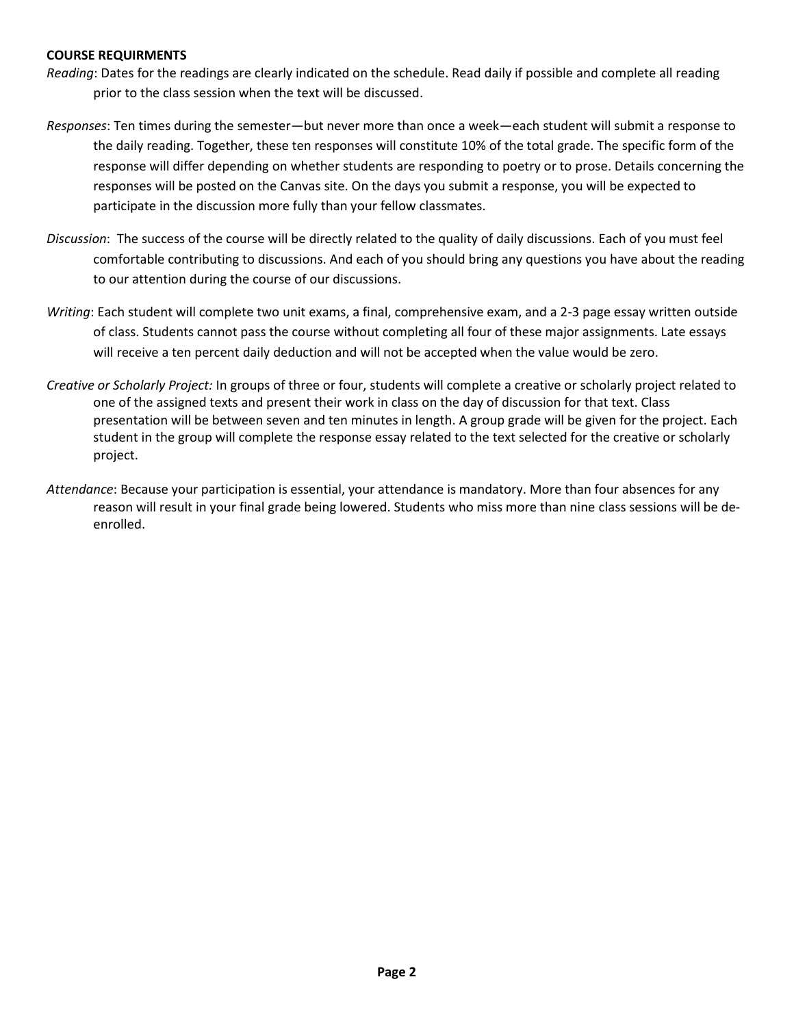#### **COURSE REQUIRMENTS**

- *Reading*: Dates for the readings are clearly indicated on the schedule. Read daily if possible and complete all reading prior to the class session when the text will be discussed.
- *Responses*: Ten times during the semester—but never more than once a week—each student will submit a response to the daily reading. Together, these ten responses will constitute 10% of the total grade. The specific form of the response will differ depending on whether students are responding to poetry or to prose. Details concerning the responses will be posted on the Canvas site. On the days you submit a response, you will be expected to participate in the discussion more fully than your fellow classmates.
- *Discussion*: The success of the course will be directly related to the quality of daily discussions. Each of you must feel comfortable contributing to discussions. And each of you should bring any questions you have about the reading to our attention during the course of our discussions.
- *Writing*: Each student will complete two unit exams, a final, comprehensive exam, and a 2-3 page essay written outside of class. Students cannot pass the course without completing all four of these major assignments. Late essays will receive a ten percent daily deduction and will not be accepted when the value would be zero.
- *Creative or Scholarly Project:* In groups of three or four, students will complete a creative or scholarly project related to one of the assigned texts and present their work in class on the day of discussion for that text. Class presentation will be between seven and ten minutes in length. A group grade will be given for the project. Each student in the group will complete the response essay related to the text selected for the creative or scholarly project.
- *Attendance*: Because your participation is essential, your attendance is mandatory. More than four absences for any reason will result in your final grade being lowered. Students who miss more than nine class sessions will be deenrolled.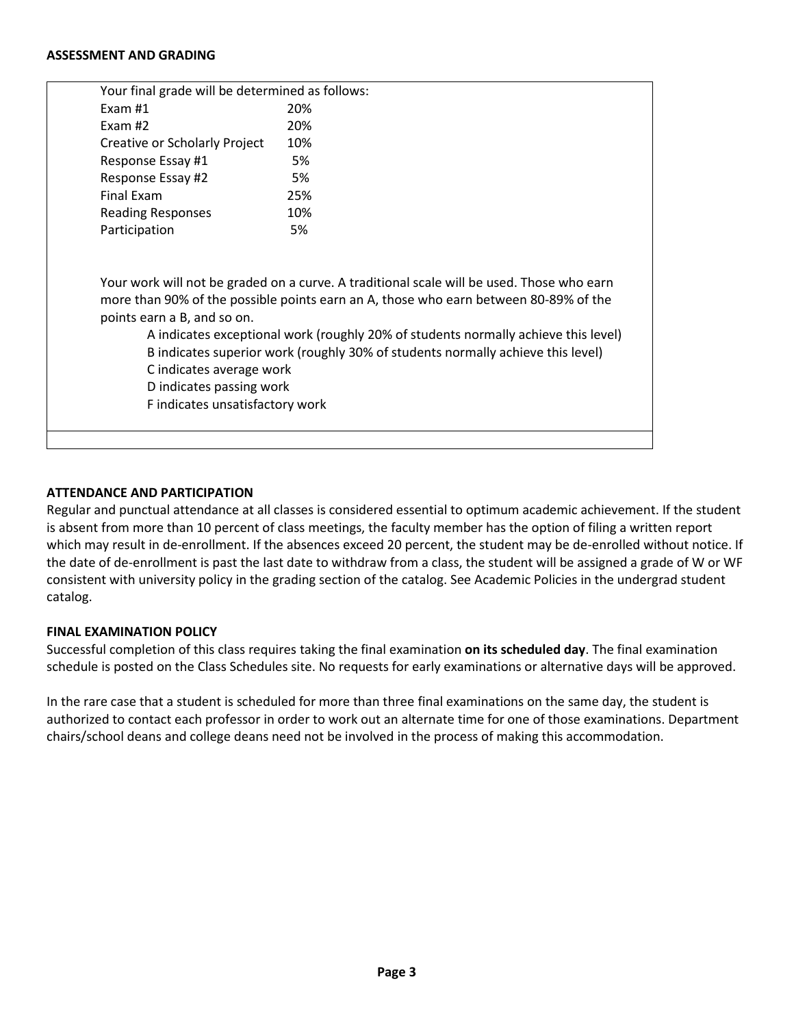#### **ASSESSMENT AND GRADING**

| Your final grade will be determined as follows: |                                                                                           |
|-------------------------------------------------|-------------------------------------------------------------------------------------------|
| Exam $#1$                                       | 20%                                                                                       |
| Exam $#2$                                       | 20%                                                                                       |
| Creative or Scholarly Project                   | 10%                                                                                       |
| Response Essay #1                               | 5%                                                                                        |
| Response Essay #2                               | 5%                                                                                        |
| Final Exam                                      | 25%                                                                                       |
| <b>Reading Responses</b>                        | 10%                                                                                       |
| Participation                                   | 5%                                                                                        |
|                                                 |                                                                                           |
|                                                 |                                                                                           |
|                                                 | Your work will not be graded on a curve. A traditional scale will be used. Those who earn |
|                                                 | more than 90% of the possible points earn an A, those who earn between 80-89% of the      |
| points earn a B, and so on.                     |                                                                                           |
|                                                 | A indicates exceptional work (roughly 20% of students normally achieve this level)        |
|                                                 | B indicates superior work (roughly 30% of students normally achieve this level)           |
| C indicates average work                        |                                                                                           |
| D indicates passing work                        |                                                                                           |
| F indicates unsatisfactory work                 |                                                                                           |
|                                                 |                                                                                           |
|                                                 |                                                                                           |

## **ATTENDANCE AND PARTICIPATION**

Regular and punctual attendance at all classes is considered essential to optimum academic achievement. If the student is absent from more than 10 percent of class meetings, the faculty member has the option of filing a written report which may result in de-enrollment. If the absences exceed 20 percent, the student may be de-enrolled without notice. If the date of de-enrollment is past the last date to withdraw from a class, the student will be assigned a grade of W or WF consistent with university policy in the grading section of the catalog. See Academic Policies in the undergrad student catalog.

#### **FINAL EXAMINATION POLICY**

Successful completion of this class requires taking the final examination **on its scheduled day**. The final examination schedule is posted on the Class Schedules site. No requests for early examinations or alternative days will be approved.

In the rare case that a student is scheduled for more than three final examinations on the same day, the student is authorized to contact each professor in order to work out an alternate time for one of those examinations. Department chairs/school deans and college deans need not be involved in the process of making this accommodation.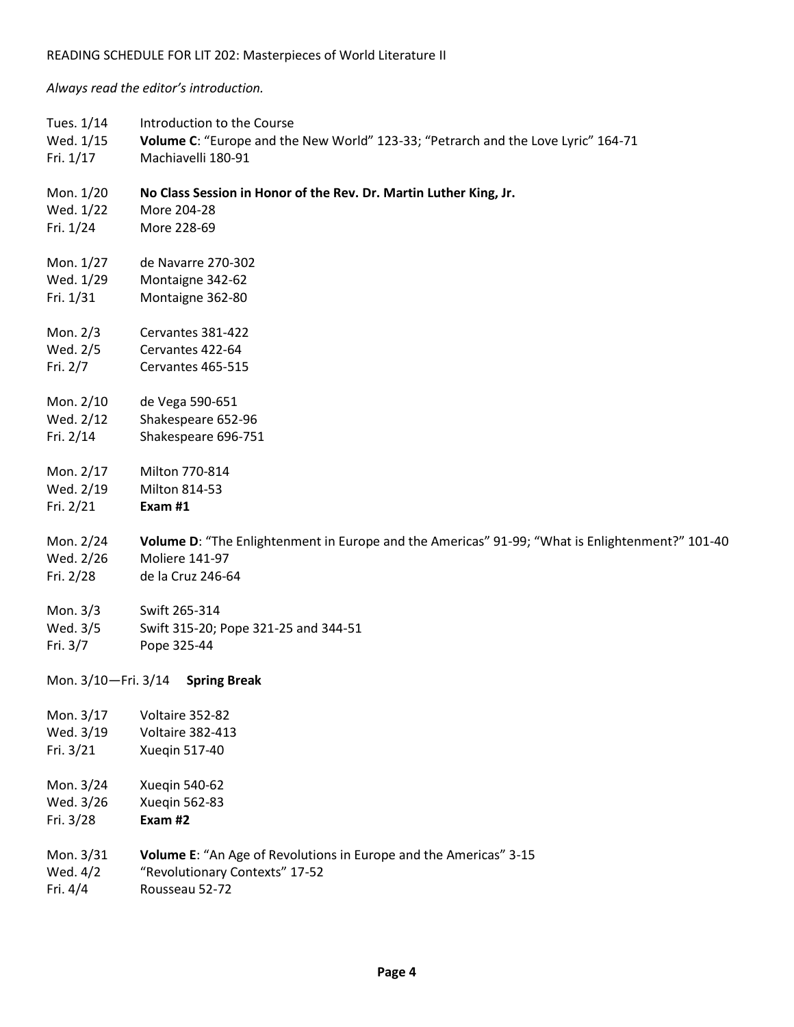*Always read the editor's introduction.*

| Tues. 1/14<br>Wed. 1/15<br>Fri. 1/17 | Introduction to the Course<br>Volume C: "Europe and the New World" 123-33; "Petrarch and the Love Lyric" 164-71<br>Machiavelli 180-91 |
|--------------------------------------|---------------------------------------------------------------------------------------------------------------------------------------|
| Mon. 1/20<br>Wed. 1/22               | No Class Session in Honor of the Rev. Dr. Martin Luther King, Jr.<br>More 204-28                                                      |
| Fri. 1/24                            | More 228-69                                                                                                                           |
| Mon. 1/27                            | de Navarre 270-302                                                                                                                    |
| Wed. 1/29                            | Montaigne 342-62                                                                                                                      |
| Fri. 1/31                            | Montaigne 362-80                                                                                                                      |
| Mon. 2/3                             | Cervantes 381-422                                                                                                                     |
| Wed. 2/5                             | Cervantes 422-64                                                                                                                      |
| Fri. 2/7                             | Cervantes 465-515                                                                                                                     |
| Mon. 2/10                            | de Vega 590-651                                                                                                                       |
| Wed. 2/12                            | Shakespeare 652-96                                                                                                                    |
| Fri. 2/14                            | Shakespeare 696-751                                                                                                                   |
| Mon. 2/17                            | Milton 770-814                                                                                                                        |
| Wed. 2/19                            | Milton 814-53                                                                                                                         |
| Fri. 2/21                            | Exam #1                                                                                                                               |
| Mon. 2/24                            | Volume D: "The Enlightenment in Europe and the Americas" 91-99; "What is Enlightenment?" 101-40                                       |
| Wed. 2/26                            | <b>Moliere 141-97</b>                                                                                                                 |
| Fri. 2/28                            | de la Cruz 246-64                                                                                                                     |
| Mon. 3/3                             | Swift 265-314                                                                                                                         |
| Wed. 3/5                             | Swift 315-20; Pope 321-25 and 344-51                                                                                                  |
| Fri. 3/7                             | Pope 325-44                                                                                                                           |
| Mon. 3/10-Fri. 3/14                  | <b>Spring Break</b>                                                                                                                   |
| Mon. 3/17                            | Voltaire 352-82                                                                                                                       |
| Wed. 3/19                            | <b>Voltaire 382-413</b>                                                                                                               |
| Fri. 3/21                            | Xueqin 517-40                                                                                                                         |
| Mon. 3/24                            | Xueqin 540-62                                                                                                                         |
| Wed. 3/26                            | <b>Xueqin 562-83</b>                                                                                                                  |
| Fri. 3/28                            | Exam #2                                                                                                                               |
| Mon. 3/31                            | Volume E: "An Age of Revolutions in Europe and the Americas" 3-15                                                                     |
| Wed. 4/2                             | "Revolutionary Contexts" 17-52                                                                                                        |
| Fri. 4/4                             | Rousseau 52-72                                                                                                                        |